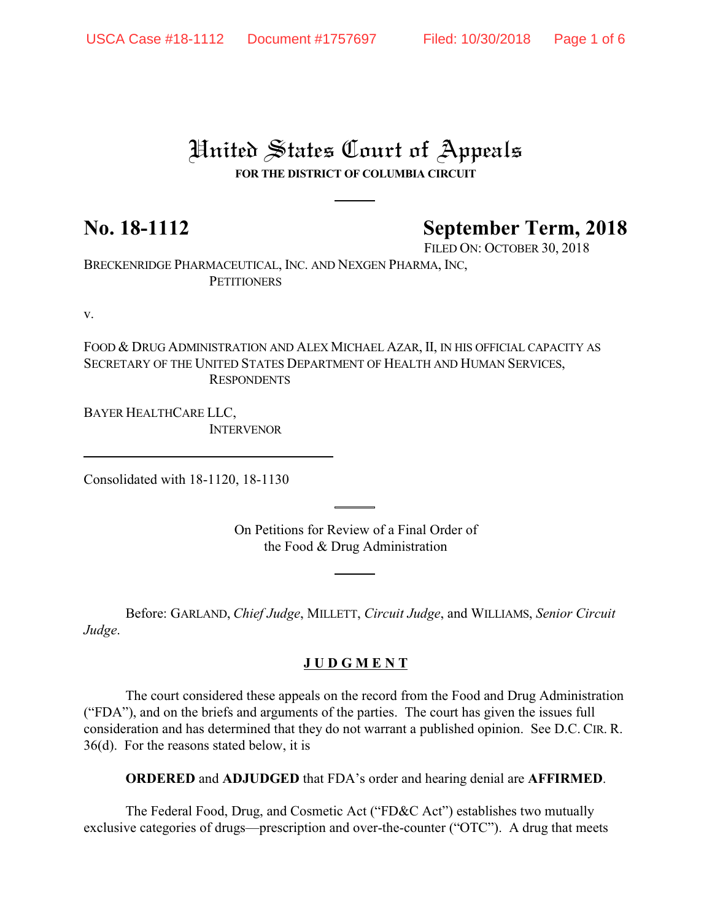# United States Court of Appeals

## **FOR THE DISTRICT OF COLUMBIA CIRCUIT**

# **No. 18-1112 September Term, 2018**

FILED ON: OCTOBER 30, 2018

BRECKENRIDGE PHARMACEUTICAL, INC. AND NEXGEN PHARMA, INC, **PETITIONERS** 

v.

FOOD & DRUG ADMINISTRATION AND ALEX MICHAEL AZAR, II, IN HIS OFFICIAL CAPACITY AS SECRETARY OF THE UNITED STATES DEPARTMENT OF HEALTH AND HUMAN SERVICES, RESPONDENTS

BAYER HEALTHCARE LLC, **INTERVENOR** 

Consolidated with 18-1120, 18-1130

On Petitions for Review of a Final Order of the Food & Drug Administration

Before: GARLAND, *Chief Judge*, MILLETT, *Circuit Judge*, and WILLIAMS, *Senior Circuit Judge*.

### **J U D G M E N T**

The court considered these appeals on the record from the Food and Drug Administration ("FDA"), and on the briefs and arguments of the parties. The court has given the issues full consideration and has determined that they do not warrant a published opinion. See D.C. CIR. R. 36(d). For the reasons stated below, it is

**ORDERED** and **ADJUDGED** that FDA's order and hearing denial are **AFFIRMED**.

The Federal Food, Drug, and Cosmetic Act ("FD&C Act") establishes two mutually exclusive categories of drugs—prescription and over-the-counter ("OTC"). A drug that meets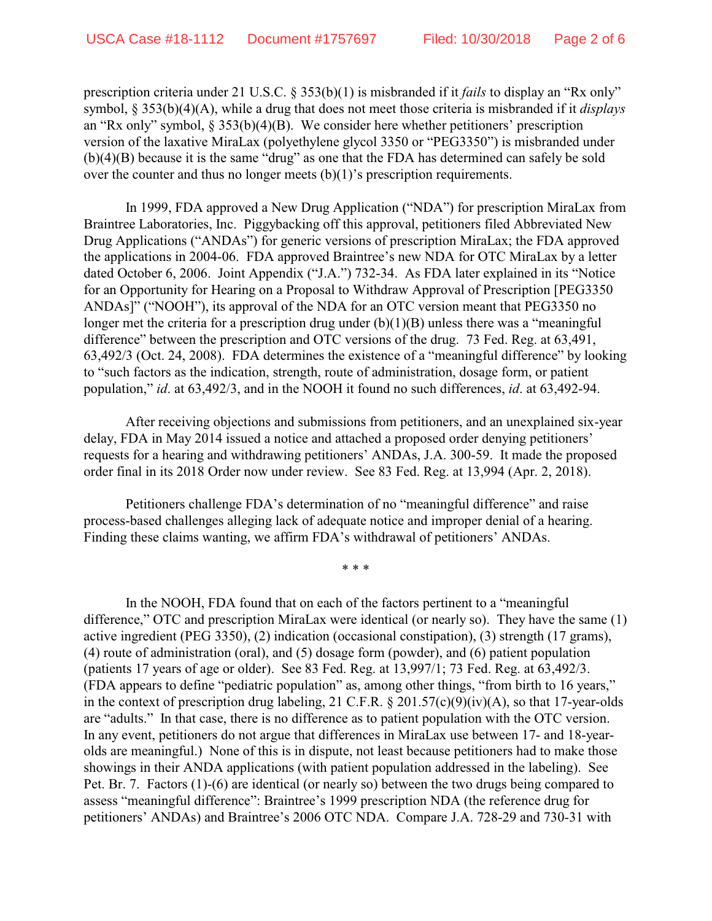prescription criteria under 21 U.S.C. § 353(b)(1) is misbranded if it *fails* to display an "Rx only" symbol, § 353(b)(4)(A), while a drug that does not meet those criteria is misbranded if it *displays* an "Rx only" symbol, § 353(b)(4)(B). We consider here whether petitioners' prescription version of the laxative MiraLax (polyethylene glycol 3350 or "PEG3350") is misbranded under (b)(4)(B) because it is the same "drug" as one that the FDA has determined can safely be sold over the counter and thus no longer meets  $(b)(1)$ 's prescription requirements.

In 1999, FDA approved a New Drug Application ("NDA") for prescription MiraLax from Braintree Laboratories, Inc. Piggybacking off this approval, petitioners filed Abbreviated New Drug Applications ("ANDAs") for generic versions of prescription MiraLax; the FDA approved the applications in 2004-06. FDA approved Braintree's new NDA for OTC MiraLax by a letter dated October 6, 2006. Joint Appendix ("J.A.") 732-34. As FDA later explained in its "Notice for an Opportunity for Hearing on a Proposal to Withdraw Approval of Prescription [PEG3350 ANDAs]" ("NOOH"), its approval of the NDA for an OTC version meant that PEG3350 no longer met the criteria for a prescription drug under (b)(1)(B) unless there was a "meaningful difference" between the prescription and OTC versions of the drug. 73 Fed. Reg. at 63,491, 63,492/3 (Oct. 24, 2008). FDA determines the existence of a "meaningful difference" by looking to "such factors as the indication, strength, route of administration, dosage form, or patient population," *id*. at 63,492/3, and in the NOOH it found no such differences, *id*. at 63,492-94.

After receiving objections and submissions from petitioners, and an unexplained six-year delay, FDA in May 2014 issued a notice and attached a proposed order denying petitioners' requests for a hearing and withdrawing petitioners' ANDAs, J.A. 300-59. It made the proposed order final in its 2018 Order now under review. See 83 Fed. Reg. at 13,994 (Apr. 2, 2018).

Petitioners challenge FDA's determination of no "meaningful difference" and raise process-based challenges alleging lack of adequate notice and improper denial of a hearing. Finding these claims wanting, we affirm FDA's withdrawal of petitioners' ANDAs.

\* \* \*

In the NOOH, FDA found that on each of the factors pertinent to a "meaningful difference," OTC and prescription MiraLax were identical (or nearly so). They have the same (1) active ingredient (PEG 3350), (2) indication (occasional constipation), (3) strength (17 grams), (4) route of administration (oral), and (5) dosage form (powder), and (6) patient population (patients 17 years of age or older). See 83 Fed. Reg. at 13,997/1; 73 Fed. Reg. at 63,492/3. (FDA appears to define "pediatric population" as, among other things, "from birth to 16 years," in the context of prescription drug labeling, 21 C.F.R. § 201.57(c)(9)(iv)(A), so that 17-year-olds are "adults." In that case, there is no difference as to patient population with the OTC version. In any event, petitioners do not argue that differences in MiraLax use between 17- and 18-yearolds are meaningful.) None of this is in dispute, not least because petitioners had to make those showings in their ANDA applications (with patient population addressed in the labeling). See Pet. Br. 7. Factors (1)-(6) are identical (or nearly so) between the two drugs being compared to assess "meaningful difference": Braintree's 1999 prescription NDA (the reference drug for petitioners' ANDAs) and Braintree's 2006 OTC NDA. Compare J.A. 728-29 and 730-31 with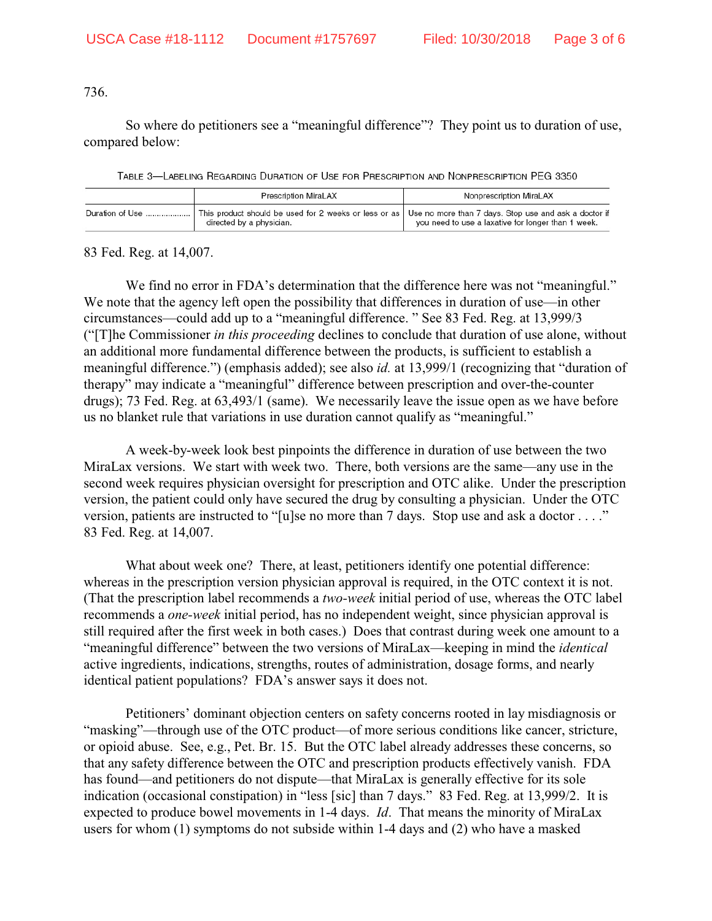736.

So where do petitioners see a "meaningful difference"? They point us to duration of use, compared below:

TABLE 3-LABELING REGARDING DURATION OF USE FOR PRESCRIPTION AND NONPRESCRIPTION PEG 3350

|                 | <b>Prescription MiraLAX</b>                                                                                                             | Nonprescription MiraLAX                            |
|-----------------|-----------------------------------------------------------------------------------------------------------------------------------------|----------------------------------------------------|
| Duration of Use | This product should be used for 2 weeks or less or as Use no more than 7 days. Stop use and ask a doctor if<br>directed by a physician. | you need to use a laxative for longer than 1 week. |

83 Fed. Reg. at 14,007.

We find no error in FDA's determination that the difference here was not "meaningful." We note that the agency left open the possibility that differences in duration of use—in other circumstances—could add up to a "meaningful difference. " See 83 Fed. Reg. at 13,999/3 ("[T]he Commissioner *in this proceeding* declines to conclude that duration of use alone, without an additional more fundamental difference between the products, is sufficient to establish a meaningful difference.") (emphasis added); see also *id.* at 13,999/1 (recognizing that "duration of therapy" may indicate a "meaningful" difference between prescription and over-the-counter drugs); 73 Fed. Reg. at 63,493/1 (same). We necessarily leave the issue open as we have before us no blanket rule that variations in use duration cannot qualify as "meaningful."

A week-by-week look best pinpoints the difference in duration of use between the two MiraLax versions. We start with week two. There, both versions are the same—any use in the second week requires physician oversight for prescription and OTC alike. Under the prescription version, the patient could only have secured the drug by consulting a physician. Under the OTC version, patients are instructed to "[u]se no more than 7 days. Stop use and ask a doctor . . . ." 83 Fed. Reg. at 14,007.

What about week one? There, at least, petitioners identify one potential difference: whereas in the prescription version physician approval is required, in the OTC context it is not. (That the prescription label recommends a *two-week* initial period of use, whereas the OTC label recommends a *one-week* initial period, has no independent weight, since physician approval is still required after the first week in both cases.) Does that contrast during week one amount to a "meaningful difference" between the two versions of MiraLax—keeping in mind the *identical* active ingredients, indications, strengths, routes of administration, dosage forms, and nearly identical patient populations? FDA's answer says it does not.

Petitioners' dominant objection centers on safety concerns rooted in lay misdiagnosis or "masking"—through use of the OTC product—of more serious conditions like cancer, stricture, or opioid abuse. See, e.g., Pet. Br. 15. But the OTC label already addresses these concerns, so that any safety difference between the OTC and prescription products effectively vanish. FDA has found—and petitioners do not dispute—that MiraLax is generally effective for its sole indication (occasional constipation) in "less [sic] than 7 days." 83 Fed. Reg. at 13,999/2. It is expected to produce bowel movements in 1-4 days. *Id*. That means the minority of MiraLax users for whom (1) symptoms do not subside within 1-4 days and (2) who have a masked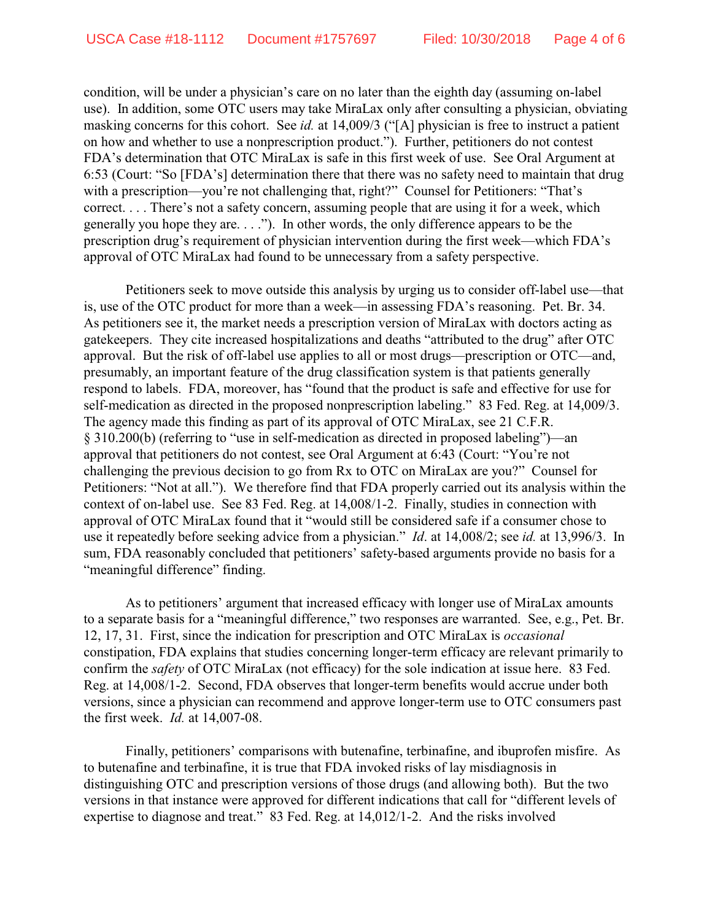condition, will be under a physician's care on no later than the eighth day (assuming on-label use). In addition, some OTC users may take MiraLax only after consulting a physician, obviating masking concerns for this cohort. See *id.* at 14,009/3 ("[A] physician is free to instruct a patient on how and whether to use a nonprescription product."). Further, petitioners do not contest FDA's determination that OTC MiraLax is safe in this first week of use. See Oral Argument at 6:53 (Court: "So [FDA's] determination there that there was no safety need to maintain that drug with a prescription—you're not challenging that, right?" Counsel for Petitioners: "That's correct. . . . There's not a safety concern, assuming people that are using it for a week, which generally you hope they are. . . ."). In other words, the only difference appears to be the prescription drug's requirement of physician intervention during the first week—which FDA's approval of OTC MiraLax had found to be unnecessary from a safety perspective.

Petitioners seek to move outside this analysis by urging us to consider off-label use—that is, use of the OTC product for more than a week—in assessing FDA's reasoning. Pet. Br. 34. As petitioners see it, the market needs a prescription version of MiraLax with doctors acting as gatekeepers. They cite increased hospitalizations and deaths "attributed to the drug" after OTC approval. But the risk of off-label use applies to all or most drugs—prescription or OTC—and, presumably, an important feature of the drug classification system is that patients generally respond to labels. FDA, moreover, has "found that the product is safe and effective for use for self-medication as directed in the proposed nonprescription labeling." 83 Fed. Reg. at 14,009/3. The agency made this finding as part of its approval of OTC MiraLax, see 21 C.F.R. § 310.200(b) (referring to "use in self-medication as directed in proposed labeling")—an approval that petitioners do not contest, see Oral Argument at 6:43 (Court: "You're not challenging the previous decision to go from Rx to OTC on MiraLax are you?" Counsel for Petitioners: "Not at all."). We therefore find that FDA properly carried out its analysis within the context of on-label use. See 83 Fed. Reg. at 14,008/1-2. Finally, studies in connection with approval of OTC MiraLax found that it "would still be considered safe if a consumer chose to use it repeatedly before seeking advice from a physician." *Id*. at 14,008/2; see *id.* at 13,996/3. In sum, FDA reasonably concluded that petitioners' safety-based arguments provide no basis for a "meaningful difference" finding.

As to petitioners' argument that increased efficacy with longer use of MiraLax amounts to a separate basis for a "meaningful difference," two responses are warranted. See, e.g., Pet. Br. 12, 17, 31. First, since the indication for prescription and OTC MiraLax is *occasional* constipation, FDA explains that studies concerning longer-term efficacy are relevant primarily to confirm the *safety* of OTC MiraLax (not efficacy) for the sole indication at issue here. 83 Fed. Reg. at 14,008/1-2. Second, FDA observes that longer-term benefits would accrue under both versions, since a physician can recommend and approve longer-term use to OTC consumers past the first week. *Id.* at 14,007-08.

Finally, petitioners' comparisons with butenafine, terbinafine, and ibuprofen misfire. As to butenafine and terbinafine, it is true that FDA invoked risks of lay misdiagnosis in distinguishing OTC and prescription versions of those drugs (and allowing both). But the two versions in that instance were approved for different indications that call for "different levels of expertise to diagnose and treat." 83 Fed. Reg. at 14,012/1-2. And the risks involved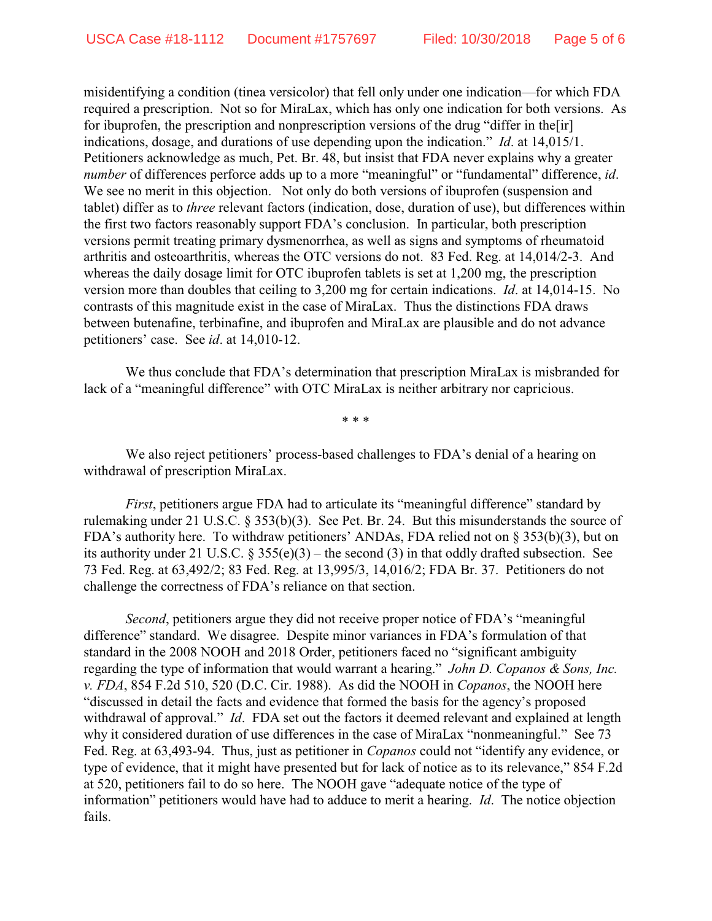misidentifying a condition (tinea versicolor) that fell only under one indication—for which FDA required a prescription. Not so for MiraLax, which has only one indication for both versions. As for ibuprofen, the prescription and nonprescription versions of the drug "differ in the[ir] indications, dosage, and durations of use depending upon the indication." *Id*. at 14,015/1. Petitioners acknowledge as much, Pet. Br. 48, but insist that FDA never explains why a greater *number* of differences perforce adds up to a more "meaningful" or "fundamental" difference, *id*. We see no merit in this objection. Not only do both versions of ibuprofen (suspension and tablet) differ as to *three* relevant factors (indication, dose, duration of use), but differences within the first two factors reasonably support FDA's conclusion. In particular, both prescription versions permit treating primary dysmenorrhea, as well as signs and symptoms of rheumatoid arthritis and osteoarthritis, whereas the OTC versions do not. 83 Fed. Reg. at 14,014/2-3. And whereas the daily dosage limit for OTC ibuprofen tablets is set at 1,200 mg, the prescription version more than doubles that ceiling to 3,200 mg for certain indications. *Id*. at 14,014-15. No contrasts of this magnitude exist in the case of MiraLax. Thus the distinctions FDA draws between butenafine, terbinafine, and ibuprofen and MiraLax are plausible and do not advance petitioners' case. See *id*. at 14,010-12.

We thus conclude that FDA's determination that prescription MiraLax is misbranded for lack of a "meaningful difference" with OTC MiraLax is neither arbitrary nor capricious.

\* \* \*

We also reject petitioners' process-based challenges to FDA's denial of a hearing on withdrawal of prescription MiraLax.

*First*, petitioners argue FDA had to articulate its "meaningful difference" standard by rulemaking under 21 U.S.C. § 353(b)(3). See Pet. Br. 24. But this misunderstands the source of FDA's authority here. To withdraw petitioners' ANDAs, FDA relied not on § 353(b)(3), but on its authority under 21 U.S.C.  $\S 355(e)(3)$  – the second (3) in that oddly drafted subsection. See 73 Fed. Reg. at 63,492/2; 83 Fed. Reg. at 13,995/3, 14,016/2; FDA Br. 37. Petitioners do not challenge the correctness of FDA's reliance on that section.

*Second*, petitioners argue they did not receive proper notice of FDA's "meaningful difference" standard. We disagree. Despite minor variances in FDA's formulation of that standard in the 2008 NOOH and 2018 Order, petitioners faced no "significant ambiguity regarding the type of information that would warrant a hearing." *John D. Copanos & Sons, Inc. v. FDA*, 854 F.2d 510, 520 (D.C. Cir. 1988). As did the NOOH in *Copanos*, the NOOH here "discussed in detail the facts and evidence that formed the basis for the agency's proposed withdrawal of approval." *Id*. FDA set out the factors it deemed relevant and explained at length why it considered duration of use differences in the case of MiraLax "nonmeaningful." See 73 Fed. Reg. at 63,493-94. Thus, just as petitioner in *Copanos* could not "identify any evidence, or type of evidence, that it might have presented but for lack of notice as to its relevance," 854 F.2d at 520, petitioners fail to do so here. The NOOH gave "adequate notice of the type of information" petitioners would have had to adduce to merit a hearing. *Id*. The notice objection fails.